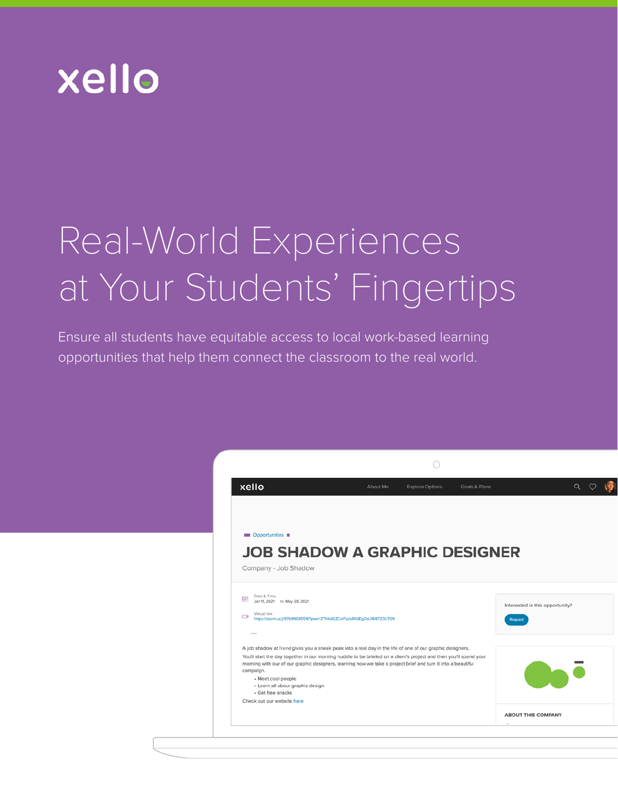

# Real-World Experiences at Your Students' Fingertips

Ensure all students have equitable access to local work-based learning opportunities that help them connect the classroom to the real world.

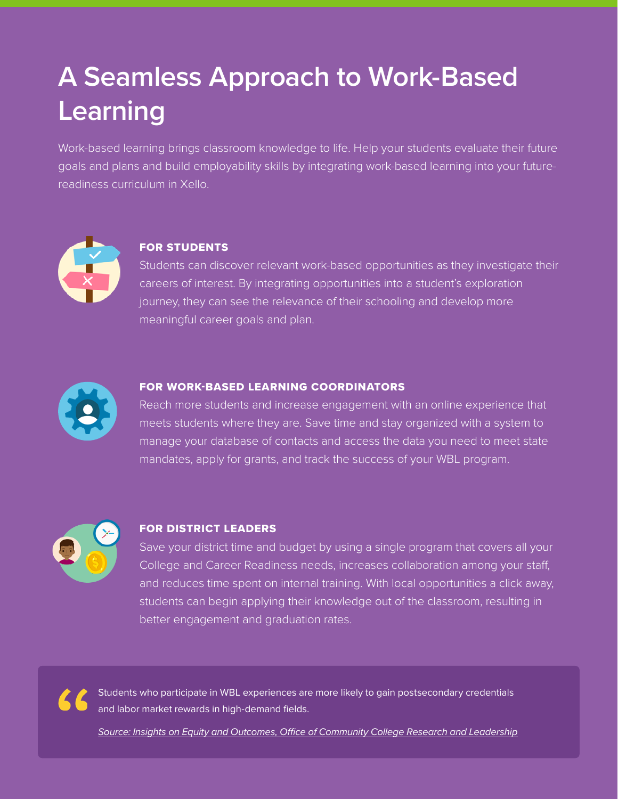# **A Seamless Approach to Work-Based Learning**

Work-based learning brings classroom knowledge to life. Help your students evaluate their future goals and plans and build employability skills by integrating work-based learning into your futurereadiness curriculum in Xello.



#### FOR STUDENTS

Students can discover relevant work-based opportunities as they investigate their careers of interest. By integrating opportunities into a student's exploration journey, they can see the relevance of their schooling and develop more meaningful career goals and plan.



#### FOR WORK-BASED LEARNING COORDINATORS

Reach more students and increase engagement with an online experience that meets students where they are. Save time and stay organized with a system to manage your database of contacts and access the data you need to meet state mandates, apply for grants, and track the success of your WBL program.



#### FOR DISTRICT LEADERS

Save your district time and budget by using a single program that covers all your College and Career Readiness needs, increases collaboration among your staff, and reduces time spent on internal training. With local opportunities a click away, students can begin applying their knowledge out of the classroom, resulting in better engagement and graduation rates.

Students who participate in WBL experiences are more likely to gain postsecondary credentials and labor market rewards in high-demand fields.

*[Source: Insights on Equity and Outcomes, Office of Community College Research and Leadership](https://files.eric.ed.gov/fulltext/ED574535.pdf)*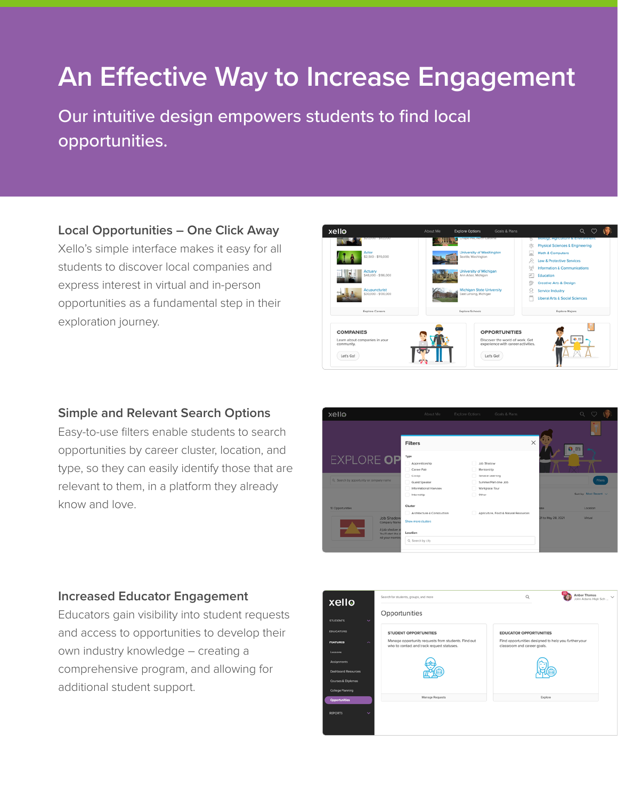### **An Effective Way to Increase Engagement**

Our intuitive design empowers students to find local opportunities.

#### **Local Opportunities – One Click Away**

Xello's simple interface makes it easy for all students to discover local companies and express interest in virtual and in-person opportunities as a fundamental step in their exploration journey.



#### **Simple and Relevant Search Options**

Easy-to-use filters enable students to search opportunities by career cluster, location, and type, so they can easily identify those that are relevant to them, in a platform they already know and love.



#### **Increased Educator Engagement**

Educators gain visibility into student requests and access to opportunities to develop their own industry knowledge – creating a comprehensive program, and allowing for additional student support.

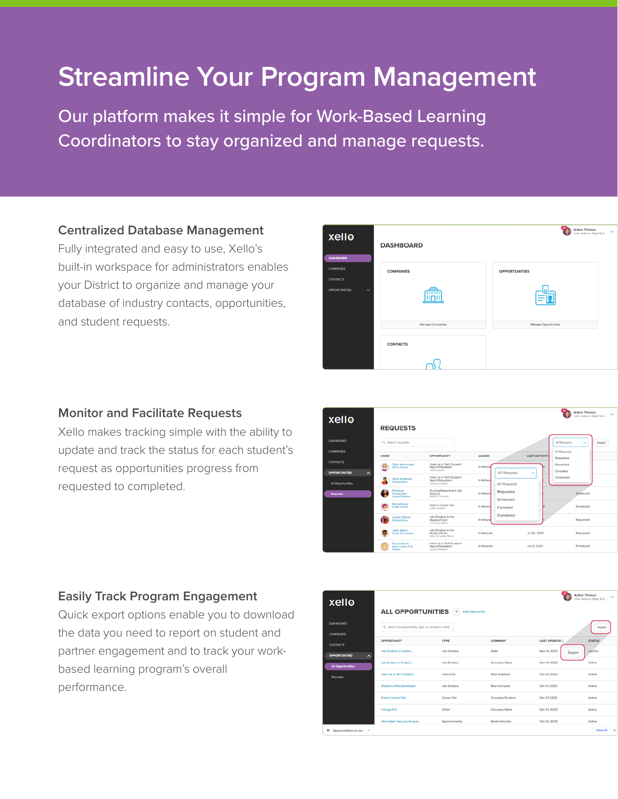### **Streamline Your Program Management**

Our platform makes it simple for Work-Based Learning Coordinators to stay organized and manage requests.

#### **Centralized Database Management**

Fully integrated and easy to use, Xello's built-in workspace for administrators enables your District to organize and manage your database of industry contacts, opportunities, and student requests.

| xello<br>DASHBOARD                   | <b>DASHBOARD</b> | $\begin{array}{l} \textbf{Amber Thomas} \\ \text{John Adams High Sch} = \\ \end{array} \begin{array}{l} \small{\small\times} \end{array}$ |
|--------------------------------------|------------------|-------------------------------------------------------------------------------------------------------------------------------------------|
| <b>COMPANIES</b><br><b>CONTACTS</b>  | <b>COMPANIES</b> | <b>OPPORTUNITIES</b>                                                                                                                      |
| <b>OPPORTUNITIES</b><br>$\checkmark$ | $\cdots$         | lo                                                                                                                                        |
|                                      | Manage Companies | Manage Opportunities                                                                                                                      |
|                                      | <b>CONTACTS</b>  |                                                                                                                                           |
|                                      |                  |                                                                                                                                           |

#### **Monitor and Facilitate Requests**

Xello makes tracking simple with the ability to update and track the status for each student's request as opportunities progress from requested to completed.



#### **Easily Track Program Engagement**

Quick export options enable you to download the data you need to report on student and partner engagement and to track your workbased learning program's overall performance.

| xello                                                          | <b>ALL OPPORTUNITIES</b>                        | Add Opportunity   |                  |                       | <b>Amber Thomas</b><br>$\sim$<br>John Adams High Sch |
|----------------------------------------------------------------|-------------------------------------------------|-------------------|------------------|-----------------------|------------------------------------------------------|
| DASHBOARD                                                      | Q. Search by opportunity, type, or company name |                   |                  |                       | Export                                               |
| <b>COMPANIES</b>                                               | <b>OPPORTUNITY</b>                              | TYPE              | COMPANY          | LAST UPDATED I        | <b>STATUS</b>                                        |
| <b>CONTACTS</b><br><b>OPPORTUNITIES</b><br>$\hat{\phantom{a}}$ | Job Shadow a Graphic                            | Job Shadow        | Xello            | Nov %, 2020<br>Export | Inactive                                             |
| <b>All Opportunities</b>                                       | Job Shadow a Graphic                            | Job Shadow        | Company Alpha    | Nov 10, 2020          | Active                                               |
| Requests                                                       | Intern as a Tech Support                        | Internship        | Beta Employer    | Oct 29, 2020          | Active                                               |
|                                                                | Shadow a Web Developer                          | <b>Job Shadow</b> | Blue Company     | Oct 27, 2020          | Active                                               |
|                                                                | District Career Fair                            | Carpor Fair       | Company Etcetera | Oct 27, 2020          | Active                                               |
|                                                                | College Fair                                    | Other             | Company Name     | Oct 23, 2020          | Active                                               |
|                                                                | Information Security Analyst                    | Apprenticaship    | Bank Institution | Oct 20, 2020          | Active                                               |
| Opportunities List.xlsx ~<br>ç                                 |                                                 |                   |                  |                       | Show All<br>$\mathbf{x}$                             |